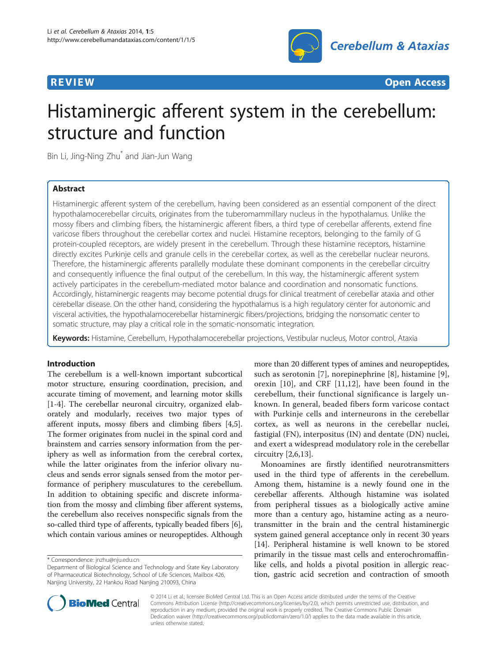

**REVIEW CONSTRUCTION CONSTRUCTION CONSTRUCTS** 

# Histaminergic afferent system in the cerebellum: structure and function

Bin Li, Jing-Ning Zhu\* and Jian-Jun Wang

# Abstract

Histaminergic afferent system of the cerebellum, having been considered as an essential component of the direct hypothalamocerebellar circuits, originates from the tuberomammillary nucleus in the hypothalamus. Unlike the mossy fibers and climbing fibers, the histaminergic afferent fibers, a third type of cerebellar afferents, extend fine varicose fibers throughout the cerebellar cortex and nuclei. Histamine receptors, belonging to the family of G protein-coupled receptors, are widely present in the cerebellum. Through these histamine receptors, histamine directly excites Purkinje cells and granule cells in the cerebellar cortex, as well as the cerebellar nuclear neurons. Therefore, the histaminergic afferents parallelly modulate these dominant components in the cerebellar circuitry and consequently influence the final output of the cerebellum. In this way, the histaminergic afferent system actively participates in the cerebellum-mediated motor balance and coordination and nonsomatic functions. Accordingly, histaminergic reagents may become potential drugs for clinical treatment of cerebellar ataxia and other cerebellar disease. On the other hand, considering the hypothalamus is a high regulatory center for autonomic and visceral activities, the hypothalamocerebellar histaminergic fibers/projections, bridging the nonsomatic center to somatic structure, may play a critical role in the somatic-nonsomatic integration.

Keywords: Histamine, Cerebellum, Hypothalamocerebellar projections, Vestibular nucleus, Motor control, Ataxia

## Introduction

The cerebellum is a well-known important subcortical motor structure, ensuring coordination, precision, and accurate timing of movement, and learning motor skills [[1-4](#page-6-0)]. The cerebellar neuronal circuitry, organized elaborately and modularly, receives two major types of afferent inputs, mossy fibers and climbing fibers [\[4,5](#page-6-0)]. The former originates from nuclei in the spinal cord and brainstem and carries sensory information from the periphery as well as information from the cerebral cortex, while the latter originates from the inferior olivary nucleus and sends error signals sensed from the motor performance of periphery musculatures to the cerebellum. In addition to obtaining specific and discrete information from the mossy and climbing fiber afferent systems, the cerebellum also receives nonspecific signals from the so-called third type of afferents, typically beaded fibers [[6](#page-6-0)], which contain various amines or neuropeptides. Although

more than 20 different types of amines and neuropeptides, such as serotonin [[7](#page-6-0)], norepinephrine [[8\]](#page-6-0), histamine [\[9](#page-6-0)], orexin [[10\]](#page-6-0), and CRF [\[11](#page-6-0),[12\]](#page-6-0), have been found in the cerebellum, their functional significance is largely unknown. In general, beaded fibers form varicose contact with Purkinje cells and interneurons in the cerebellar cortex, as well as neurons in the cerebellar nuclei, fastigial (FN), interpositus (IN) and dentate (DN) nuclei, and exert a widespread modulatory role in the cerebellar circuitry [[2,6,13](#page-6-0)].

Monoamines are firstly identified neurotransmitters used in the third type of afferents in the cerebellum. Among them, histamine is a newly found one in the cerebellar afferents. Although histamine was isolated from peripheral tissues as a biologically active amine more than a century ago, histamine acting as a neurotransmitter in the brain and the central histaminergic system gained general acceptance only in recent 30 years [[14\]](#page-6-0). Peripheral histamine is well known to be stored primarily in the tissue mast cells and enterochromaffinlike cells, and holds a pivotal position in allergic reaction, gastric acid secretion and contraction of smooth



© 2014 Li et al.; licensee BioMed Central Ltd. This is an Open Access article distributed under the terms of the Creative Commons Attribution License [\(http://creativecommons.org/licenses/by/2.0\)](http://creativecommons.org/licenses/by/2.0), which permits unrestricted use, distribution, and reproduction in any medium, provided the original work is properly credited. The Creative Commons Public Domain Dedication waiver [\(http://creativecommons.org/publicdomain/zero/1.0/](http://creativecommons.org/publicdomain/zero/1.0/)) applies to the data made available in this article, unless otherwise stated.

<sup>\*</sup> Correspondence: [jnzhu@nju.edu.cn](mailto:jnzhu@nju.edu.cn)

Department of Biological Science and Technology and State Key Laboratory of Pharmaceutical Biotechnology, School of Life Sciences, Mailbox 426, Nanjing University, 22 Hankou Road Nanjing 210093, China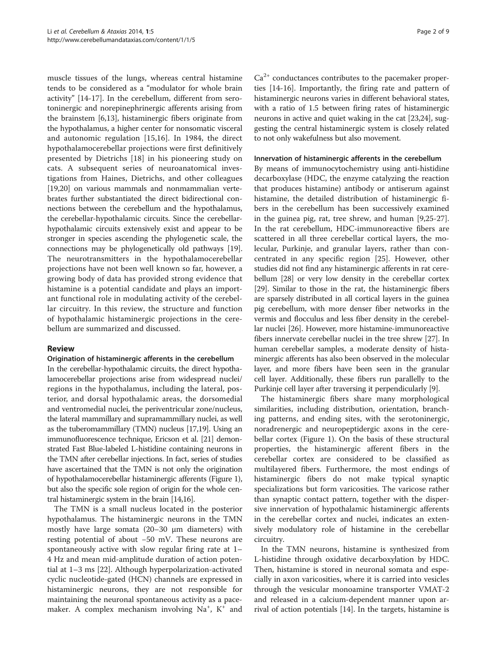muscle tissues of the lungs, whereas central histamine tends to be considered as a "modulator for whole brain activity" [\[14](#page-6-0)-[17](#page-6-0)]. In the cerebellum, different from serotoninergic and norepinephrinergic afferents arising from the brainstem [[6,13](#page-6-0)], histaminergic fibers originate from the hypothalamus, a higher center for nonsomatic visceral and autonomic regulation [[15,16](#page-6-0)]. In 1984, the direct hypothalamocerebellar projections were first definitively presented by Dietrichs [[18\]](#page-6-0) in his pioneering study on cats. A subsequent series of neuroanatomical investigations from Haines, Dietrichs, and other colleagues [[19,20](#page-6-0)] on various mammals and nonmammalian vertebrates further substantiated the direct bidirectional connections between the cerebellum and the hypothalamus, the cerebellar-hypothalamic circuits. Since the cerebellarhypothalamic circuits extensively exist and appear to be stronger in species ascending the phylogenetic scale, the connections may be phylogenetically old pathways [[19](#page-6-0)]. The neurotransmitters in the hypothalamocerebellar projections have not been well known so far, however, a growing body of data has provided strong evidence that histamine is a potential candidate and plays an important functional role in modulating activity of the cerebellar circuitry. In this review, the structure and function of hypothalamic histaminergic projections in the cerebellum are summarized and discussed.

## Review

#### Origination of histaminergic afferents in the cerebellum

In the cerebellar-hypothalamic circuits, the direct hypothalamocerebellar projections arise from widespread nuclei/ regions in the hypothalamus, including the lateral, posterior, and dorsal hypothalamic areas, the dorsomedial and ventromedial nuclei, the periventricular zone/nucleus, the lateral mammillary and supramammillary nuclei, as well as the tuberomammillary (TMN) nucleus [\[17,19](#page-6-0)]. Using an immunofluorescence technique, Ericson et al. [\[21](#page-6-0)] demonstrated Fast Blue-labeled L-histidine containing neurons in the TMN after cerebellar injections. In fact, series of studies have ascertained that the TMN is not only the origination of hypothalamocerebellar histaminergic afferents (Figure [1](#page-2-0)), but also the specific sole region of origin for the whole central histaminergic system in the brain [\[14,16\]](#page-6-0).

The TMN is a small nucleus located in the posterior hypothalamus. The histaminergic neurons in the TMN mostly have large somata (20–30 μm diameters) with resting potential of about −50 mV. These neurons are spontaneously active with slow regular firing rate at 1– 4 Hz and mean mid-amplitude duration of action potential at 1–3 ms [[22](#page-6-0)]. Although hyperpolarization-activated cyclic nucleotide-gated (HCN) channels are expressed in histaminergic neurons, they are not responsible for maintaining the neuronal spontaneous activity as a pacemaker. A complex mechanism involving Na<sup>+</sup>, K<sup>+</sup> and

 $Ca<sup>2+</sup>$  conductances contributes to the pacemaker properties [\[14-16](#page-6-0)]. Importantly, the firing rate and pattern of histaminergic neurons varies in different behavioral states, with a ratio of 1.5 between firing rates of histaminergic neurons in active and quiet waking in the cat [\[23,24](#page-6-0)], suggesting the central histaminergic system is closely related to not only wakefulness but also movement.

#### Innervation of histaminergic afferents in the cerebellum

By means of immunocytochemistry using anti-histidine decarboxylase (HDC, the enzyme catalyzing the reaction that produces histamine) antibody or antiserum against histamine, the detailed distribution of histaminergic fibers in the cerebellum has been successively examined in the guinea pig, rat, tree shrew, and human [[9,25-27](#page-6-0)]. In the rat cerebellum, HDC-immunoreactive fibers are scattered in all three cerebellar cortical layers, the molecular, Purkinje, and granular layers, rather than concentrated in any specific region [[25](#page-6-0)]. However, other studies did not find any histaminergic afferents in rat cerebellum [[28](#page-6-0)] or very low density in the cerebellar cortex [[29](#page-6-0)]. Similar to those in the rat, the histaminergic fibers are sparsely distributed in all cortical layers in the guinea pig cerebellum, with more denser fiber networks in the vermis and flocculus and less fiber density in the cerebellar nuclei [[26](#page-6-0)]. However, more histamine-immunoreactive fibers innervate cerebellar nuclei in the tree shrew [\[27\]](#page-6-0). In human cerebellar samples, a moderate density of histaminergic afferents has also been observed in the molecular layer, and more fibers have been seen in the granular cell layer. Additionally, these fibers run parallelly to the Purkinje cell layer after traversing it perpendicularly [\[9](#page-6-0)].

The histaminergic fibers share many morphological similarities, including distribution, orientation, branching patterns, and ending sites, with the serotoninergic, noradrenergic and neuropeptidergic axons in the cerebellar cortex (Figure [1\)](#page-2-0). On the basis of these structural properties, the histaminergic afferent fibers in the cerebellar cortex are considered to be classified as multilayered fibers. Furthermore, the most endings of histaminergic fibers do not make typical synaptic specializations but form varicosities. The varicose rather than synaptic contact pattern, together with the dispersive innervation of hypothalamic histaminergic afferents in the cerebellar cortex and nuclei, indicates an extensively modulatory role of histamine in the cerebellar circuitry.

In the TMN neurons, histamine is synthesized from L-histidine through oxidative decarboxylation by HDC. Then, histamine is stored in neuronal somata and especially in axon varicosities, where it is carried into vesicles through the vesicular monoamine transporter VMAT-2 and released in a calcium-dependent manner upon arrival of action potentials [[14](#page-6-0)]. In the targets, histamine is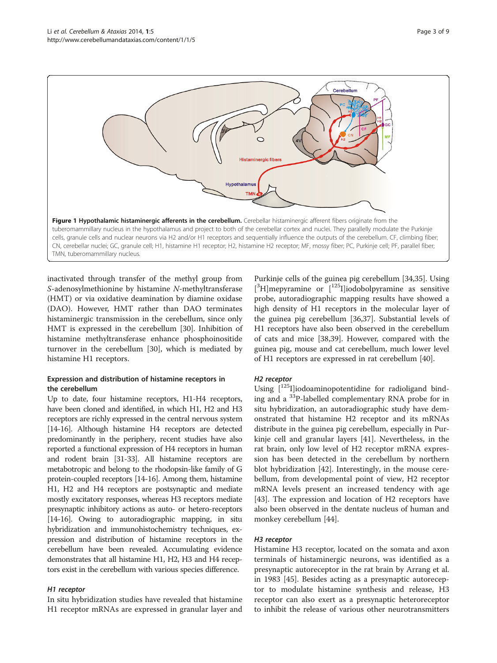<span id="page-2-0"></span>

inactivated through transfer of the methyl group from S-adenosylmethionine by histamine N-methyltransferase (HMT) or via oxidative deamination by diamine oxidase (DAO). However, HMT rather than DAO terminates histaminergic transmission in the cerebellum, since only HMT is expressed in the cerebellum [[30\]](#page-6-0). Inhibition of histamine methyltransferase enhance phosphoinositide turnover in the cerebellum [\[30](#page-6-0)], which is mediated by histamine H1 receptors.

# Expression and distribution of histamine receptors in the cerebellum

Up to date, four histamine receptors, H1-H4 receptors, have been cloned and identified, in which H1, H2 and H3 receptors are richly expressed in the central nervous system [[14](#page-6-0)-[16\]](#page-6-0). Although histamine H4 receptors are detected predominantly in the periphery, recent studies have also reported a functional expression of H4 receptors in human and rodent brain [[31-33\]](#page-6-0). All histamine receptors are metabotropic and belong to the rhodopsin-like family of G protein-coupled receptors [\[14-16\]](#page-6-0). Among them, histamine H1, H2 and H4 receptors are postsynaptic and mediate mostly excitatory responses, whereas H3 receptors mediate presynaptic inhibitory actions as auto- or hetero-receptors [[14](#page-6-0)-[16\]](#page-6-0). Owing to autoradiographic mapping, in situ hybridization and immunohistochemistry techniques, expression and distribution of histamine receptors in the cerebellum have been revealed. Accumulating evidence demonstrates that all histamine H1, H2, H3 and H4 receptors exist in the cerebellum with various species difference.

## H1 receptor

In situ hybridization studies have revealed that histamine H1 receptor mRNAs are expressed in granular layer and

Purkinje cells of the guinea pig cerebellum [\[34,35\]](#page-6-0). Using [<sup>3</sup>H]mepyramine or [<sup>125</sup>I]iodobolpyramine as sensitive probe, autoradiographic mapping results have showed a high density of H1 receptors in the molecular layer of the guinea pig cerebellum [[36,37\]](#page-6-0). Substantial levels of H1 receptors have also been observed in the cerebellum of cats and mice [\[38,39\]](#page-6-0). However, compared with the guinea pig, mouse and cat cerebellum, much lower level of H1 receptors are expressed in rat cerebellum [\[40](#page-6-0)].

## H2 receptor

Using  $[1^{25}$ I]iodoaminopotentidine for radioligand binding and a 33P-labelled complementary RNA probe for in situ hybridization, an autoradiographic study have demonstrated that histamine H2 receptor and its mRNAs distribute in the guinea pig cerebellum, especially in Purkinje cell and granular layers [\[41](#page-6-0)]. Nevertheless, in the rat brain, only low level of H2 receptor mRNA expression has been detected in the cerebellum by northern blot hybridization [[42\]](#page-6-0). Interestingly, in the mouse cerebellum, from developmental point of view, H2 receptor mRNA levels present an increased tendency with age [[43\]](#page-6-0). The expression and location of H2 receptors have also been observed in the dentate nucleus of human and monkey cerebellum [\[44\]](#page-6-0).

## H3 receptor

Histamine H3 receptor, located on the somata and axon terminals of histaminergic neurons, was identified as a presynaptic autoreceptor in the rat brain by Arrang et al. in 1983 [\[45\]](#page-6-0). Besides acting as a presynaptic autoreceptor to modulate histamine synthesis and release, H3 receptor can also exert as a presynaptic heteroreceptor to inhibit the release of various other neurotransmitters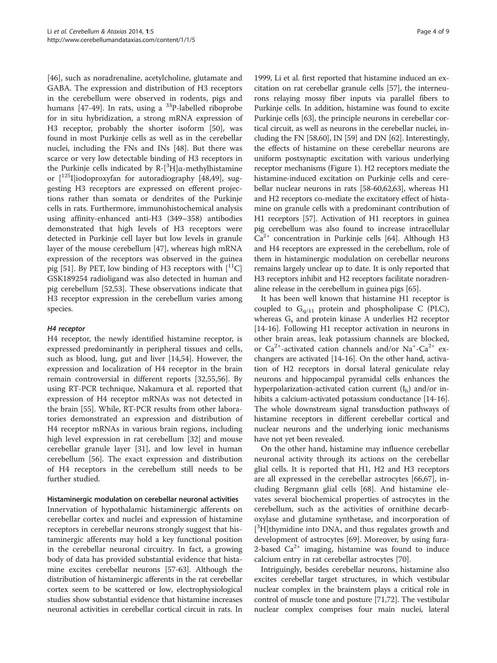[[46\]](#page-7-0), such as noradrenaline, acetylcholine, glutamate and GABA. The expression and distribution of H3 receptors in the cerebellum were observed in rodents, pigs and humans  $[47-49]$  $[47-49]$  $[47-49]$  $[47-49]$ . In rats, using a  $^{33}P$ -labelled riboprobe for in situ hybridization, a strong mRNA expression of H3 receptor, probably the shorter isoform [\[50\]](#page-7-0), was found in most Purkinje cells as well as in the cerebellar nuclei, including the FNs and INs [\[48\]](#page-7-0). But there was scarce or very low detectable binding of H3 receptors in the Purkinje cells indicated by R-[<sup>3</sup>H]α-methylhistamine or  $\lceil 1^{25}I \rceil$ iodoproxyfan for autoradiography  $\lceil 48, 49 \rceil$ , suggesting H3 receptors are expressed on efferent projections rather than somata or dendrites of the Purkinje cells in rats. Furthermore, immunohistochemical analysis using affinity-enhanced anti-H3 (349–358) antibodies demonstrated that high levels of H3 receptors were detected in Purkinje cell layer but low levels in granule layer of the mouse cerebellum [[47\]](#page-7-0), whereas high mRNA expression of the receptors was observed in the guinea pig [[51](#page-7-0)]. By PET, low binding of H3 receptors with  $\lceil {}^{11}C \rceil$ GSK189254 radioligand was also detected in human and pig cerebellum [[52,53\]](#page-7-0). These observations indicate that H3 receptor expression in the cerebellum varies among species.

# H4 receptor

H4 receptor, the newly identified histamine receptor, is expressed predominantly in peripheral tissues and cells, such as blood, lung, gut and liver [[14,](#page-6-0)[54\]](#page-7-0). However, the expression and localization of H4 receptor in the brain remain controversial in different reports [[32](#page-6-0)[,55,56](#page-7-0)]. By using RT-PCR technique, Nakamura et al. reported that expression of H4 receptor mRNAs was not detected in the brain [[55\]](#page-7-0). While, RT-PCR results from other laboratories demonstrated an expression and distribution of H4 receptor mRNAs in various brain regions, including high level expression in rat cerebellum [[32\]](#page-6-0) and mouse cerebellar granule layer [[31\]](#page-6-0), and low level in human cerebellum [\[56](#page-7-0)]. The exact expression and distribution of H4 receptors in the cerebellum still needs to be further studied.

## Histaminergic modulation on cerebellar neuronal activities

Innervation of hypothalamic histaminergic afferents on cerebellar cortex and nuclei and expression of histamine receptors in cerebellar neurons strongly suggest that histaminergic afferents may hold a key functional position in the cerebellar neuronal circuitry. In fact, a growing body of data has provided substantial evidence that histamine excites cerebellar neurons [[57-63\]](#page-7-0). Although the distribution of histaminergic afferents in the rat cerebellar cortex seem to be scattered or low, electrophysiological studies show substantial evidence that histamine increases neuronal activities in cerebellar cortical circuit in rats. In

1999, Li et al. first reported that histamine induced an excitation on rat cerebellar granule cells [[57](#page-7-0)], the interneurons relaying mossy fiber inputs via parallel fibers to Purkinje cells. In addition, histamine was found to excite Purkinje cells [\[63\]](#page-7-0), the principle neurons in cerebellar cortical circuit, as well as neurons in the cerebellar nuclei, including the FN [\[58,60\]](#page-7-0), IN [\[59\]](#page-7-0) and DN [\[62\]](#page-7-0). Interestingly, the effects of histamine on these cerebellar neurons are uniform postsynaptic excitation with various underlying receptor mechanisms (Figure [1](#page-2-0)). H2 receptors mediate the histamine-induced excitation on Purkinje cells and cerebellar nuclear neurons in rats [[58](#page-7-0)-[60,62,63\]](#page-7-0), whereas H1 and H2 receptors co-mediate the excitatory effect of histamine on granule cells with a predominant contribution of H1 receptors [[57](#page-7-0)]. Activation of H1 receptors in guinea pig cerebellum was also found to increase intracellular  $Ca<sup>2+</sup>$  concentration in Purkinje cells [\[64\]](#page-7-0). Although H3 and H4 receptors are expressed in the cerebellum, role of them in histaminergic modulation on cerebellar neurons remains largely unclear up to date. It is only reported that H3 receptors inhibit and H2 receptors facilitate noradrenaline release in the cerebellum in guinea pigs [\[65](#page-7-0)].

It has been well known that histamine H1 receptor is coupled to  $G<sub>q/11</sub>$  protein and phospholipase C (PLC), whereas  $G_s$  and protein kinase A underlies H2 receptor [[14-16](#page-6-0)]. Following H1 receptor activation in neurons in other brain areas, leak potassium channels are blocked, or  $Ca^{2+}$ -activated cation channels and/or Na<sup>+</sup>-Ca<sup>2+</sup> exchangers are activated [\[14-16\]](#page-6-0). On the other hand, activation of H2 receptors in dorsal lateral geniculate relay neurons and hippocampal pyramidal cells enhances the hyperpolarization-activated cation current  $(I_h)$  and/or in-hibits a calcium-activated potassium conductance [[14](#page-6-0)-[16](#page-6-0)]. The whole downstream signal transduction pathways of histamine receptors in different cerebellar cortical and nuclear neurons and the underlying ionic mechanisms have not yet been revealed.

On the other hand, histamine may influence cerebellar neuronal activity through its actions on the cerebellar glial cells. It is reported that H1, H2 and H3 receptors are all expressed in the cerebellar astrocytes [\[66,67\]](#page-7-0), including Bergmann glial cells [\[68](#page-7-0)]. And histamine elevates several biochemical properties of astrocytes in the cerebellum, such as the activities of ornithine decarboxylase and glutamine synthetase, and incorporation of [<sup>3</sup>H]thymidine into DNA, and thus regulates growth and development of astrocytes [\[69](#page-7-0)]. Moreover, by using fura-2-based  $Ca^{2+}$  imaging, histamine was found to induce calcium entry in rat cerebellar astrocytes [[70](#page-7-0)].

Intriguingly, besides cerebellar neurons, histamine also excites cerebellar target structures, in which vestibular nuclear complex in the brainstem plays a critical role in control of muscle tone and posture [[71](#page-7-0),[72](#page-7-0)]. The vestibular nuclear complex comprises four main nuclei, lateral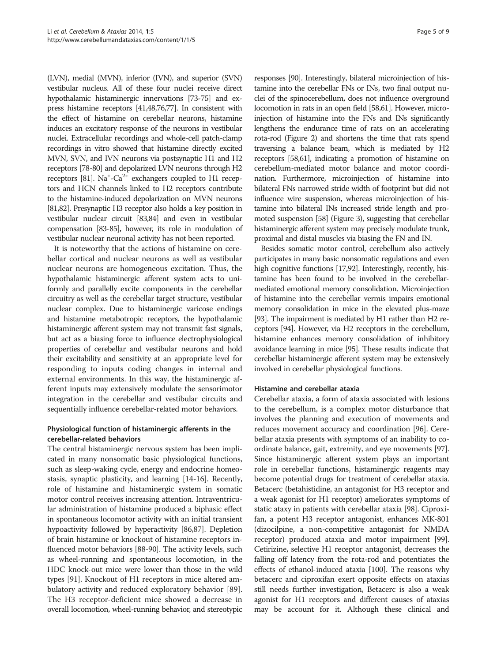(LVN), medial (MVN), inferior (IVN), and superior (SVN) vestibular nucleus. All of these four nuclei receive direct hypothalamic histaminergic innervations [\[73](#page-7-0)-[75\]](#page-7-0) and express histamine receptors [[41,](#page-6-0)[48,76,77\]](#page-7-0). In consistent with the effect of histamine on cerebellar neurons, histamine induces an excitatory response of the neurons in vestibular nuclei. Extracellular recordings and whole-cell patch-clamp recordings in vitro showed that histamine directly excited MVN, SVN, and IVN neurons via postsynaptic H1 and H2 receptors [\[78](#page-7-0)-[80\]](#page-7-0) and depolarized LVN neurons through H2 receptors [\[81\]](#page-7-0).  $Na^+$ -Ca<sup>2+</sup> exchangers coupled to H1 receptors and HCN channels linked to H2 receptors contribute to the histamine-induced depolarization on MVN neurons [[81,82](#page-7-0)]. Presynaptic H3 receptor also holds a key position in vestibular nuclear circuit [\[83,84](#page-7-0)] and even in vestibular compensation [[83-85\]](#page-7-0), however, its role in modulation of vestibular nuclear neuronal activity has not been reported.

It is noteworthy that the actions of histamine on cerebellar cortical and nuclear neurons as well as vestibular nuclear neurons are homogeneous excitation. Thus, the hypothalamic histaminergic afferent system acts to uniformly and parallelly excite components in the cerebellar circuitry as well as the cerebellar target structure, vestibular nuclear complex. Due to histaminergic varicose endings and histamine metabotropic receptors, the hypothalamic histaminergic afferent system may not transmit fast signals, but act as a biasing force to influence electrophysiological properties of cerebellar and vestibular neurons and hold their excitability and sensitivity at an appropriate level for responding to inputs coding changes in internal and external environments. In this way, the histaminergic afferent inputs may extensively modulate the sensorimotor integration in the cerebellar and vestibular circuits and sequentially influence cerebellar-related motor behaviors.

# Physiological function of histaminergic afferents in the cerebellar-related behaviors

The central histaminergic nervous system has been implicated in many nonsomatic basic physiological functions, such as sleep-waking cycle, energy and endocrine homeostasis, synaptic plasticity, and learning [\[14-16\]](#page-6-0). Recently, role of histamine and histaminergic system in somatic motor control receives increasing attention. Intraventricular administration of histamine produced a biphasic effect in spontaneous locomotor activity with an initial transient hypoactivity followed by hyperactivity [\[86,87\]](#page-7-0). Depletion of brain histamine or knockout of histamine receptors influenced motor behaviors [[88](#page-7-0)-[90](#page-7-0)]. The activity levels, such as wheel-running and spontaneous locomotion, in the HDC knock-out mice were lower than those in the wild types [[91](#page-7-0)]. Knockout of H1 receptors in mice altered ambulatory activity and reduced exploratory behavior [\[89](#page-7-0)]. The H3 receptor-deficient mice showed a decrease in overall locomotion, wheel-running behavior, and stereotypic

responses [\[90\]](#page-7-0). Interestingly, bilateral microinjection of histamine into the cerebellar FNs or INs, two final output nuclei of the spinocerebellum, does not influence overground locomotion in rats in an open field [\[58,61\]](#page-7-0). However, microinjection of histamine into the FNs and INs significantly lengthens the endurance time of rats on an accelerating rota-rod (Figure [2](#page-5-0)) and shortens the time that rats spend traversing a balance beam, which is mediated by H2 receptors [\[58,61\]](#page-7-0), indicating a promotion of histamine on cerebellum-mediated motor balance and motor coordination. Furthermore, microinjection of histamine into bilateral FNs narrowed stride width of footprint but did not influence wire suspension, whereas microinjection of histamine into bilateral INs increased stride length and promoted suspension [\[58\]](#page-7-0) (Figure [3\)](#page-5-0), suggesting that cerebellar histaminergic afferent system may precisely modulate trunk, proximal and distal muscles via biasing the FN and IN.

Besides somatic motor control, cerebellum also actively participates in many basic nonsomatic regulations and even high cognitive functions [\[17](#page-6-0)[,92](#page-8-0)]. Interestingly, recently, histamine has been found to be involved in the cerebellarmediated emotional memory consolidation. Microinjection of histamine into the cerebellar vermis impairs emotional memory consolidation in mice in the elevated plus-maze [[93](#page-8-0)]. The impairment is mediated by H1 rather than H2 receptors [[94\]](#page-8-0). However, via H2 receptors in the cerebellum, histamine enhances memory consolidation of inhibitory avoidance learning in mice [[95](#page-8-0)]. These results indicate that cerebellar histaminergic afferent system may be extensively involved in cerebellar physiological functions.

#### Histamine and cerebellar ataxia

Cerebellar ataxia, a form of ataxia associated with lesions to the cerebellum, is a complex motor disturbance that involves the planning and execution of movements and reduces movement accuracy and coordination [\[96\]](#page-8-0). Cerebellar ataxia presents with symptoms of an inability to coordinate balance, gait, extremity, and eye movements [[97](#page-8-0)]. Since histaminergic afferent system plays an important role in cerebellar functions, histaminergic reagents may become potential drugs for treatment of cerebellar ataxia. Betacerc (betahistidine, an antagonist for H3 receptor and a weak agonist for H1 receptor) ameliorates symptoms of static ataxy in patients with cerebellar ataxia [[98](#page-8-0)]. Ciproxifan, a potent H3 receptor antagonist, enhances MK-801 (dizocilpine, a non-competitive antagonist for NMDA receptor) produced ataxia and motor impairment [[99](#page-8-0)]. Cetirizine, selective H1 receptor antagonist, decreases the falling off latency from the rota-rod and potentiates the effects of ethanol-induced ataxia [\[100](#page-8-0)]. The reasons why betacerc and ciproxifan exert opposite effects on ataxias still needs further investigation, Betacerc is also a weak agonist for H1 receptors and different causes of ataxias may be account for it. Although these clinical and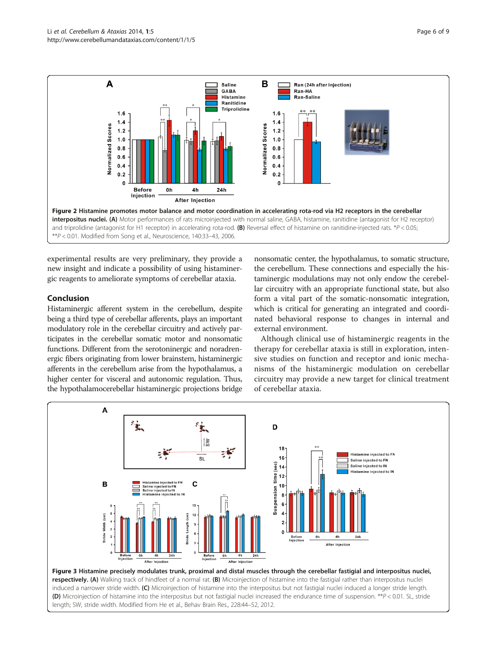<span id="page-5-0"></span>

experimental results are very preliminary, they provide a new insight and indicate a possibility of using histaminergic reagents to ameliorate symptoms of cerebellar ataxia.

# Conclusion

Histaminergic afferent system in the cerebellum, despite being a third type of cerebellar afferents, plays an important modulatory role in the cerebellar circuitry and actively participates in the cerebellar somatic motor and nonsomatic functions. Different from the serotoninergic and noradrenergic fibers originating from lower brainstem, histaminergic afferents in the cerebellum arise from the hypothalamus, a higher center for visceral and autonomic regulation. Thus, the hypothalamocerebellar histaminergic projections bridge

nonsomatic center, the hypothalamus, to somatic structure, the cerebellum. These connections and especially the histaminergic modulations may not only endow the cerebellar circuitry with an appropriate functional state, but also form a vital part of the somatic-nonsomatic integration, which is critical for generating an integrated and coordinated behavioral response to changes in internal and external environment.

Although clinical use of histaminergic reagents in the therapy for cerebellar ataxia is still in exploration, intensive studies on function and receptor and ionic mechanisms of the histaminergic modulation on cerebellar circuitry may provide a new target for clinical treatment of cerebellar ataxia.



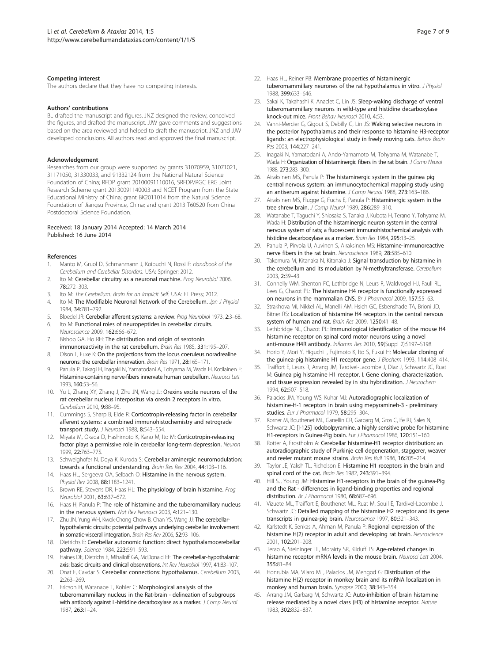#### <span id="page-6-0"></span>Competing interest

The authors declare that they have no competing interests.

#### Authors' contributions

BL drafted the manuscript and figures. JNZ designed the review, conceived the figures, and drafted the manuscript. JJW gave comments and suggestions based on the area reviewed and helped to draft the manuscript. JNZ and JJW developed conclusions. All authors read and approved the final manuscript.

#### Acknowledgement

Researches from our group were supported by grants 31070959, 31071021, 31171050, 31330033, and 91332124 from the National Natural Science Foundation of China; RFDP grant 20100091110016, SRFDP/RGC ERG Joint Research Scheme grant 20130091140003 and NCET Program from the State Educational Ministry of China; grant BK2011014 from the Natural Science Foundation of Jiangsu Province, China; and grant 2013 T60520 from China Postdoctoral Science Foundation.

#### Received: 18 January 2014 Accepted: 14 March 2014 Published: 16 June 2014

#### References

- Manto M, Gruol D, Schmahmann J, Koibuchi N, Rossi F: Handbook of the Cerebellum and Cerebellar Disorders. USA: Springer; 2012.
- 2. Ito M: Cerebellar circuitry as a neuronal machine. Prog Neurobiol 2006, 78:272–303.
- Ito M: The Cerebellum: Brain for an Implicit Self. USA: FT Press; 2012.
- 4. Ito M: The Modifiable Neuronal Network of the Cerebellum. Jpn J Physiol 1984, 34:781–792.
- 5. Bloedel JR: Cerebellar afferent systems: a review. Prog Neurobiol 1973, 2:3–68.
- 6. Ito M: Functional roles of neuropeptides in cerebellar circuits.
- Neuroscience 2009, 162:666–672. 7. Bishop GA, Ho RH: The distribution and origin of serotonin
- immunoreactivity in the rat cerebellum. Brain Res 1985, 331:195–207. 8. Olson L, Fuxe K: On the projections from the locus coeruleus noradrealine
- neurons: the cerebellar innervation. Brain Res 1971, 28:165–171. 9. Panula P, Takagi H, Inagaki N, Yamatodani A, Tohyama M, Wada H, Kotilainen E:
- Histamine-containing nerve-fibers innervate human cerebellum. Neurosci Lett 1993, 160:53–56. 10. Yu L, Zhang XY, Zhang J, Zhu JN, Wang JJ: Orexins excite neurons of the
- rat cerebellar nucleus interpositus via orexin 2 receptors in vitro. Cerebellum 2010, 9:88–95.
- 11. Cummings S, Sharp B, Elde R: Corticotropin-releasing factor in cerebellar afferent systems: a combined immunohistochemistry and retrograde transport study. J Neurosci 1988, 8:543-554.
- 12. Miyata M, Okada D, Hashimoto K, Kano M, Ito M: Corticotropin-releasing factor plays a permissive role in cerebellar long-term depression. Neuron 1999, 22:763–775.
- 13. Schweighofer N, Doya K, Kuroda S: Cerebellar aminergic neuromodulation: towards a functional understanding. Brain Res Rev 2004, 44:103–116.
- 14. Haas HL, Sergeeva OA, Selbach O: Histamine in the nervous system. Physiol Rev 2008, 88:1183–1241.
- 15. Brown RE, Stevens DR, Haas HL: The physiology of brain histamine. Prog Neurobiol 2001, 63:637–672.
- 16. Haas H, Panula P: The role of histamine and the tuberomamillary nucleus in the nervous system. Nat Rev Neurosci 2003, 4:121–130.
- 17. Zhu JN, Yung WH, Kwok-Chong Chow B, Chan YS, Wang JJ: The cerebellarhypothalamic circuits: potential pathways underlying cerebellar involvement in somatic-visceral integration. Brain Res Rev 2006, 52:93–106.
- 18. Dietrichs E: Cerebellar autonomic function: direct hypothalamocerebellar pathway. Science 1984, 223:591–593.
- 19. Haines DE, Dietrichs E, Mihailoff GA, McDonald EF: The cerebellar-hypothalamic axis: basic circuits and clinical observations. Int Rev Neurobiol 1997, 41:83–107.
- 20. Onat F, Cavdar S: Cerebellar connections: hypothalamus. Cerebellum 2003, 2:263–269.
- 21. Ericson H, Watanabe T, Kohler C: Morphological analysis of the tuberomammillary nucleus in the Rat-brain - delineation of subgroups with antibody against L-histidine decarboxylase as a marker. J Comp Neurol 1987, 263:1–24.
- 22. Haas HL, Reiner PB: Membrane properties of histaminergic tuberomammillary neurones of the rat hypothalamus in vitro. J Physiol 1988, 399:633–646.
- 23. Sakai K, Takahashi K, Anaclet C, Lin JS: Sleep-waking discharge of ventral tuberomammillary neurons in wild-type and histidine decarboxylase knock-out mice. Front Behav Neurosci 2010, 4:53.
- 24. Vanni-Mercier G, Gigout S, Debilly G, Lin JS: Waking selective neurons in the posterior hypothalamus and their response to histamine H3-receptor ligands: an electrophysiological study in freely moving cats. Behav Brain Res 2003, 144:227–241.
- 25. Inagaki N, Yamatodani A, Ando-Yamamoto M, Tohyama M, Watanabe T, Wada H: Organization of histaminergic fibers in the rat brain. J Comp Neurol 1988, 273:283–300.
- 26. Airaksinen MS, Panula P: The histaminergic system in the guinea pig central nervous system: an immunocytochemical mapping study using an antiserum against histamine. J Comp Neurol 1988, 273:163–186.
- 27. Airaksinen MS, Flugge G, Fuchs E, Panula P: Histaminergic system in the tree shrew brain. J Comp Neurol 1989, 286:289-310.
- 28. Watanabe T, Taguchi Y, Shiosaka S, Tanaka J, Kubota H, Terano Y, Tohyama M, Wada H: Distribution of the histaminergic neuron system in the central nervous system of rats; a fluorescent immunohistochemical analysis with histidine decarboxylase as a marker. Brain Res 1984, 295:13–25.
- 29. Panula P, Pirvola U, Auvinen S, Airaksinen MS: Histamine-immunoreactive nerve fibers in the rat brain. Neuroscience 1989, 28:585–610.
- 30. Takemura M, Kitanaka N, Kitanaka J: Signal transduction by histamine in the cerebellum and its modulation by N-methyltransferase. Cerebellum 2003, 2:39–43.
- 31. Connelly WM, Shenton FC, Lethbridge N, Leurs R, Waldvogel HJ, Faull RL, Lees G, Chazot PL: The histamine H4 receptor is functionally expressed on neurons in the mammalian CNS. Br J Pharmacol 2009, 157:55–63.
- 32. Strakhova MI, Nikkel AL, Manelli AM, Hsieh GC, Esbenshade TA, Brioni JD, Bitner RS: Localization of histamine H4 receptors in the central nervous system of human and rat. Brain Res 2009, 1250:41–48.
- 33. Lethbridge NL, Chazot PL: Immunological identification of the mouse H4 histamine receptor on spinal cord motor neurons using a novel anti-mouse H4R antibody. Inflamm Res 2010, 59(Suppl 2):S197–S198.
- 34. Horio Y, Mori Y, Higuchi I, Fujimoto K, Ito S, Fukui H: Molecular cloning of the guinea-pig histamine H1 receptor gene. J Biochem 1993, 114:408–414.
- 35. Traiffort E, Leurs R, Arrang JM, Tardivel-Lacombe J, Diaz J, Schwartz JC, Ruat M: Guinea pig histamine H1 receptor. I. Gene cloning, characterization, and tissue expression revealed by in situ hybridization. J Neurochem 1994, 62:507–518.
- 36. Palacios JM, Young WS, Kuhar MJ: Autoradiographic localization of histamine-H-1 receptors in brain using mepyramineh-3 - preliminary studies. Eur J Pharmacol 1979, 58:295-304.
- 37. Korner M, Bouthenet ML, Ganellin CR, Garbarg M, Gros C, Ife RJ, Sales N, Schwartz JC: [I-125] iodobolpyramine, a highly sensitive probe for histamine H1-receptors in Guinea-Pig brain. Eur J Pharmacol 1986, 120:151–160.
- 38. Rotter A, Frostholm A: Cerebellar histamine-H1 receptor distribution: an autoradiographic study of Purkinje cell degeneration, staggerer, weaver and reeler mutant mouse strains. Brain Res Bull 1986, 16:205–214.
- 39. Taylor JE, Yaksh TL, Richelson E: Histamine H1 receptors in the brain and spinal cord of the cat. Brain Res 1982, 243:391-394.
- 40. Hill SJ, Young JM: Histamine H1-receptors in the brain of the guinea-Pig and the Rat - differences in ligand-binding properties and regional distribution. Br J Pharmacol 1980, 68:687–696.
- 41. Vizuete ML, Traiffort E, Bouthenet ML, Ruat M, Souil E, Tardivel-Lacombe J, Schwartz JC: Detailed mapping of the histamine H2 receptor and its gene transcripts in guinea-pig brain. Neuroscience 1997, 80:321–343.
- 42. Karlstedt K, Senkas A, Ahman M, Panula P: Regional expression of the histamine H(2) receptor in adult and developing rat brain. Neuroscience 2001, 102:201–208.
- 43. Terao A, Steininger TL, Morairty SR, Kilduff TS: Age-related changes in histamine receptor mRNA levels in the mouse brain. Neurosci Lett 2004, 355:81–84.
- 44. Honrubia MA, Vilaro MT, Palacios JM, Mengod G: Distribution of the histamine H(2) receptor in monkey brain and its mRNA localization in monkey and human brain. Synapse 2000, 38:343–354.
- 45. Arrang JM, Garbarg M, Schwartz JC: Auto-inhibition of brain histamine release mediated by a novel class (H3) of histamine receptor. Nature 1983, 302:832–837.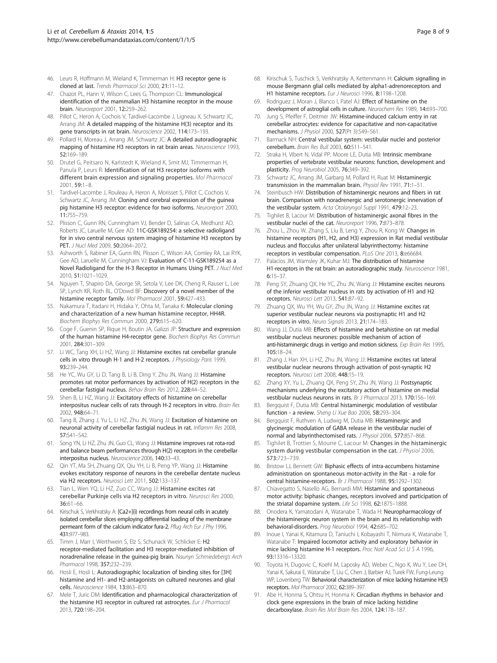- <span id="page-7-0"></span>46. Leurs R, Hoffmann M, Wieland K, Timmerman H: H3 receptor gene is cloned at last. Trends Pharmacol Sci 2000, 21:11–12.
- 47. Chazot PL, Hann V, Wilson C, Lees G, Thompson CL: Immunological identification of the mammalian H3 histamine receptor in the mouse brain. Neuroreport 2001, 12:259–262.
- 48. Pillot C, Heron A, Cochois V, Tardivel-Lacombe J, Ligneau X, Schwartz JC, Arrang JM: A detailed mapping of the histamine H(3) receptor and its gene transcripts in rat brain. Neuroscience 2002, 114:173-193.
- 49. Pollard H, Moreau J, Arrang JM, Schwartz JC: A detailed autoradiographic mapping of histamine H3 receptors in rat brain areas. Neuroscience 1993, 52:169–189.
- 50. Drutel G, Peitsaro N, Karlstedt K, Wieland K, Smit MJ, Timmerman H, Panula P, Leurs R: Identification of rat H3 receptor isoforms with different brain expression and signaling properties. Mol Pharmacol 2001, 59:1–8.
- 51. Tardivel-Lacombe J, Rouleau A, Heron A, Morisset S, Pillot C, Cochois V, Schwartz JC, Arrang JM: Cloning and cerebral expression of the guinea pig histamine H3 receptor: evidence for two isoforms. Neuroreport 2000, 11:755–759.
- 52. Plisson C, Gunn RN, Cunningham VJ, Bender D, Salinas CA, Medhurst AD, Roberts JC, Laruelle M, Gee AD: 11C-GSK189254: a selective radioligand for in vivo central nervous system imaging of histamine H3 receptors by PET. J Nucl Med 2009, 50:2064-2072.
- 53. Ashworth S, Rabiner EA, Gunn RN, Plisson C, Wilson AA, Comley RA, Lai RYK, Gee AD, Laruelle M, Cunningham VJ: Evaluation of C-11-GSK189254 as a Novel Radioligand for the H-3 Receptor in Humans Using PET. J Nucl Med 2010, 51:1021–1029.
- 54. Nguyen T, Shapiro DA, George SR, Setola V, Lee DK, Cheng R, Rauser L, Lee SP, Lynch KR, Roth BL, O'Dowd BF: Discovery of a novel member of the histamine receptor family. Mol Pharmacol 2001, 59:427–433.
- 55. Nakamura T, Itadani H, Hidaka Y, Ohta M, Tanaka K: Molecular cloning and characterization of a new human histamine receptor, HH4R. Biochem Biophys Res Commun 2000, 279:615–620.
- 56. Coge F, Guenin SP, Rique H, Boutin JA, Galizzi JP: Structure and expression of the human histamine H4-receptor gene. Biochem Biophys Res Commun 2001, 284:301–309.
- 57. Li WC, Tang XH, Li HZ, Wang JJ: Histamine excites rat cerebellar granule cells in vitro through H-1 and H-2 receptors. J Physiology Paris 1999, 93:239–244.
- 58. He YC, Wu GY, Li D, Tang B, Li B, Ding Y, Zhu JN, Wang JJ: Histamine promotes rat motor performances by activation of H(2) receptors in the cerebellar fastigial nucleus. Behav Brain Res 2012, 228:44–52.
- 59. Shen B, Li HZ, Wang JJ: Excitatory effects of histamine on cerebellar interpositus nuclear cells of rats through H-2 receptors in vitro. Brain Res 2002, 948:64–71.
- 60. Tang B, Zhang J, Yu L, Li HZ, Zhu JN, Wang JJ: Excitation of histamine on neuronal activity of cerebellar fastigial nucleus in rat. Inflamm Res 2008, 57:S41–S42.
- 61. Song YN, Li HZ, Zhu JN, Guo CL, Wang JJ: Histamine improves rat rota-rod and balance beam performances through H(2) receptors in the cerebellar interpositus nucleus. Neuroscience 2006, 140:33–43.
- 62. Qin YT, Ma SH, Zhuang QX, Qiu YH, Li B, Peng YP, Wang JJ: Histamine evokes excitatory response of neurons in the cerebellar dentate nucleus via H2 receptors. Neurosci Lett 2011, 502:133-137.
- 63. Tian L, Wen YQ, Li HZ, Zuo CC, Wang JJ: Histamine excites rat cerebellar Purkinje cells via H2 receptors in vitro. Neurosci Res 2000, 36:61–66.
- 64. Kirischuk S, Verkhratsky A: [Ca2+](i) recordings from neural cells in acutely isolated cerebellar slices employing differential loading of the membrane permeant form of the calcium indicator fura-2. Pflug Arch Eur J Phy 1996, 431:977–983.
- 65. Timm J, Marr I, Werthwein S, Elz S, Schunack W, Schlicker E: H2 receptor-mediated facilitation and H3 receptor-mediated inhibition of noradrenaline release in the guinea-pig brain. Naunyn Schmiedeberg's Arch Pharmacol 1998, 357:232–239.
- 66. Hosli E, Hosli L: Autoradiographic localization of binding sites for [3H] histamine and H1- and H2-antagonists on cultured neurones and glial cells. Neuroscience 1984, 13:863–870.
- 67. Mele T, Juric DM: Identification and pharmacological characterization of the histamine H3 receptor in cultured rat astrocytes. Eur J Pharmacol 2013, 720:198–204.
- 68. Kirischuk S, Tuschick S, Verkhratsky A, Kettenmann H: Calcium signalling in mouse Bergmann glial cells mediated by alpha1-adrenoreceptors and H1 histamine receptors. Eur J Neurosci 1996, 8:1198-1208.
- 69. Rodriguez J, Moran J, Blanco I, Patel AJ: Effect of histamine on the development of astroglial cells in culture. Neurochem Res 1989, 14:693–700.
- 70. Jung S, Pfeiffer F, Deitmer JW: Histamine-induced calcium entry in rat cerebellar astrocytes: evidence for capacitative and non-capacitative mechanisms. J Physiol 2000, 527(Pt 3):549–561.
- 71. Barmack NH: Central vestibular system: vestibular nuclei and posterior cerebellum. Brain Res Bull 2003, 60:511–541.
- 72. Straka H, Vibert N, Vidal PP, Moore LE, Dutia MB: Intrinsic membrane properties of vertebrate vestibular neurons: function, development and plasticity. Prog Neurobiol 2005, 76:349–392.
- 73. Schwartz JC, Arrang JM, Garbarg M, Pollard H, Ruat M: Histaminergic transmission in the mammalian brain. Physiol Rev 1991, 71:1-51.
- 74. Steinbusch HW: Distribution of histaminergic neurons and fibers in rat brain. Comparison with noradrenergic and serotonergic innervation of the vestibular system. Acta Otolaryngol Suppl 1991, 479:12-23.
- Tighilet B, Lacour M: Distribution of histaminergic axonal fibres in the vestibular nuclei of the cat. Neuroreport 1996, 7:873–878.
- 76. Zhou L, Zhou W, Zhang S, Liu B, Leng Y, Zhou R, Kong W: Changes in histamine receptors (H1, H2, and H3) expression in Rat medial vestibular nucleus and flocculus after unilateral labyrinthectomy: histamine receptors in vestibular compensation. PLoS One 2013, 8:e66684.
- 77. Palacios JM, Wamsley JK, Kuhar MJ: The distribution of histamine H1-receptors in the rat brain: an autoradiographic study. Neuroscience 1981, 6:15–37.
- 78. Peng SY, Zhuang QX, He YC, Zhu JN, Wang JJ: Histamine excites neurons of the inferior vestibular nucleus in rats by activation of H1 and H2 receptors. Neurosci Lett 2013, 541:87–92.
- 79. Zhuang QX, Wu YH, Wu GY, Zhu JN, Wang JJ: Histamine excites rat superior vestibular nuclear neurons via postsynaptic H1 and H2 receptors in vitro. Neuro Signals 2013, 21:174–183.
- 80. Wang JJ, Dutia MB: Effects of histamine and betahistine on rat medial vestibular nucleus neurones: possible mechanism of action of anti-histaminergic drugs in vertigo and motion sickness. Exp Brain Res 1995, 105:18–24.
- 81. Zhang J, Han XH, Li HZ, Zhu JN, Wang JJ: Histamine excites rat lateral vestibular nuclear neurons through activation of post-synaptic H2 receptors. Neurosci Lett 2008, 448:15–19.
- 82. Zhang XY, Yu L, Zhuang QX, Peng SY, Zhu JN, Wang JJ: Postsynaptic mechanisms underlying the excitatory action of histamine on medial vestibular nucleus neurons in rats. Br J Pharmacol 2013, 170:156-169.
- 83. Bergquist F, Dutia MB: Central histaminergic modulation of vestibular function - a review. Sheng Li Xue Bao 2006, 58:293–304.
- 84. Bergquist F, Ruthven A, Ludwig M, Dutia MB: Histaminergic and glycinergic modulation of GABA release in the vestibular nuclei of normal and labyrinthectomised rats. J Physiol 2006, 577:857–868.
- 85. Tighilet B, Trottier S, Mourre C, Lacour M: Changes in the histaminergic system during vestibular compensation in the cat. J Physiol 2006, 573:723–739.
- Bristow LJ, Bennett GW: Biphasic effects of intra-accumbens histamine administration on spontaneous motor-activity in the Rat - a role for central histamine-receptors. Br J Pharmacol 1988, 95:1292-1302.
- 87. Chiavegatto S, Nasello AG, Bernardi MM: Histamine and spontaneous motor activity: biphasic changes, receptors involved and participation of the striatal dopamine system. Life Sci 1998, 62:1875-1888
- 88. Onodera K, Yamatodani A, Watanabe T, Wada H: Neuropharmacology of the histaminergic neuron system in the brain and its relationship with behavioral-disorders. Prog Neurobiol 1994, 42:685–702.
- Inoue I, Yanai K, Kitamura D, Taniuchi I, Kobayashi T, Niimura K, Watanabe T, Watanabe T: Impaired locomotor activity and exploratory behavior in mice lacking histamine H-1 receptors. Proc Natl Acad Sci U S A 1996, 93:13316–13320.
- 90. Toyota H, Dugovic C, Koehl M, Laposky AD, Weber C, Ngo K, Wu Y, Lee DH, Yanai K, Sakurai E, Watanabe T, Liu C, Chen J, Barbier AJ, Turek FW, Fung-Leung WP, Lovenberg TW: Behavioral characterization of mice lacking histamine H(3) receptors. Mol Pharmacol 2002, 62:389–397.
- 91. Abe H, Honma S, Ohtsu H, Honma K: Circadian rhythms in behavior and clock gene expressions in the brain of mice lacking histidine decarboxylase. Brain Res Mol Brain Res 2004, 124:178–187.